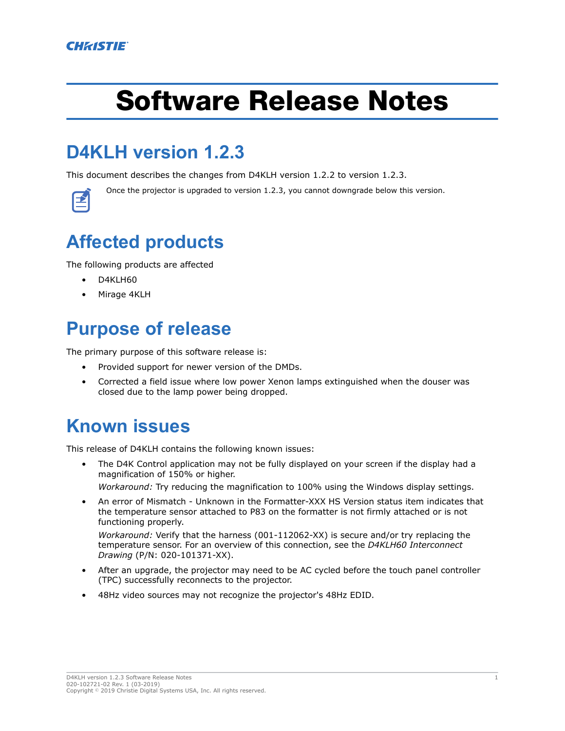# Software Release Notes

## **D4KLH version 1.2.3**

This document describes the changes from D4KLH version 1.2.2 to version 1.2.3.

Once the projector is upgraded to version 1.2.3, you cannot downgrade below this version.

## **Affected products**

The following products are affected

- D4KLH60
- Mirage 4KLH

### **Purpose of release**

The primary purpose of this software release is:

- Provided support for newer version of the DMDs.
- Corrected a field issue where low power Xenon lamps extinguished when the douser was closed due to the lamp power being dropped.

### **Known issues**

This release of D4KLH contains the following known issues:

• The D4K Control application may not be fully displayed on your screen if the display had a magnification of 150% or higher.

*Workaround:* Try reducing the magnification to 100% using the Windows display settings.

• An error of Mismatch - Unknown in the Formatter-XXX HS Version status item indicates that the temperature sensor attached to P83 on the formatter is not firmly attached or is not functioning properly.

*Workaround:* Verify that the harness (001-112062-XX) is secure and/or try replacing the temperature sensor. For an overview of this connection, see the *D4KLH60 Interconnect Drawing* (P/N: 020-101371-XX).

- After an upgrade, the projector may need to be AC cycled before the touch panel controller (TPC) successfully reconnects to the projector.
- 48Hz video sources may not recognize the projector's 48Hz EDID.